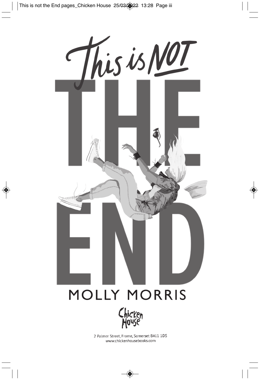



2 Palmer Street, Frome, Somerset BA11 1DS www.chickenhousebooks.com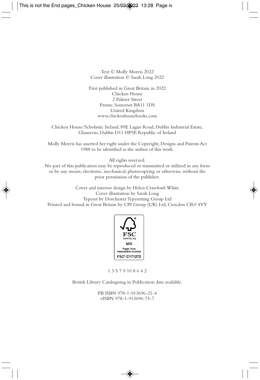Text © Molly Morris 2022 Cover illustration © Sarah Long 2022

First published in Great Britain in 2022 Chicken House 2 Palmer Street Frome, Somerset BA11 1DS United Kingdom www.chickenhousebooks.com

Chicken House/Scholastic Ireland, 89E Lagan Road, Dublin Industrial Estate, Glasnevin, Dublin D11 HP5F, Republic of Ireland

Molly Morris has asserted her right under the Copyright, Designs and Patents Act 1988 to be identified as the author of this work.

All rights reserved.

No part of this publication may be reproduced or transmitted or utilized in any form or by any means, electronic, mechanical, photocopying or otherwise, without the prior permission of the publisher.

Cover and interior design by Helen Crawford-White Cover illustration by Sarah Long Typeset by Dorchester Typesetting Group Ltd Printed and bound in Great Britain by CPI Group (UK) Ltd, Croydon CR0 4YY



1 3 5 7 9 10 8 6 4 2

British Library Cataloguing in Publication data available.

PB ISBN 978-1-913696-21-4 eISBN 978-1-913696-75-7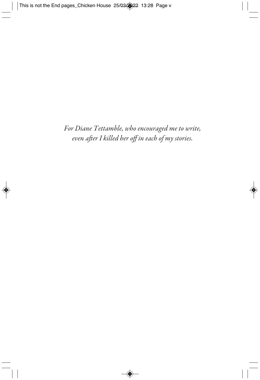*For Diane Tettamble, who encouraged me to write, even after I killed her off in each of my stories.*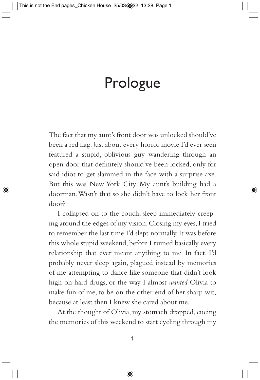## Prologue

The fact that my aunt's front door was unlocked should've been a red flag. Just about every horror movie I'd ever seen featured a stupid, oblivious guy wandering through an open door that definitely should've been locked, only for said idiot to get slammed in the face with a surprise axe. But this was New York City. My aunt's building had a doorman. Wasn't that so she didn't have to lock her front door?

I collapsed on to the couch, sleep immediately creeping around the edges of my vision. Closing my eyes, I tried to remember the last time I'd slept normally. It was before this whole stupid weekend, before I ruined basically every relationship that ever meant anything to me. In fact, I'd probably never sleep again, plagued instead by memories of me attempting to dance like someone that didn't look high on hard drugs, or the way I almost *wanted* Olivia to make fun of me, to be on the other end of her sharp wit, because at least then I knew she cared about me.

At the thought of Olivia, my stomach dropped, cueing the memories of this weekend to start cycling through my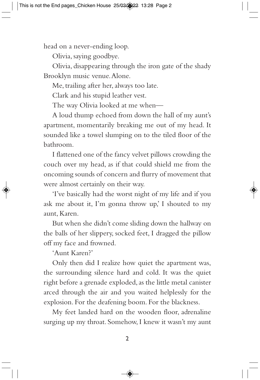head on a never-ending loop.

Olivia, saying goodbye.

Olivia, disappearing through the iron gate of the shady Brooklyn music venue. Alone.

Me, trailing after her, always too late.

Clark and his stupid leather vest.

The way Olivia looked at me when—

A loud thump echoed from down the hall of my aunt's apartment, momentarily breaking me out of my head. It sounded like a towel slumping on to the tiled floor of the bathroom.

I flattened one of the fancy velvet pillows crowding the couch over my head, as if that could shield me from the oncoming sounds of concern and flurry of movement that were almost certainly on their way.

'I've basically had the worst night of my life and if you ask me about it, I'm gonna throw up,' I shouted to my aunt, Karen.

But when she didn't come sliding down the hallway on the balls of her slippery, socked feet, I dragged the pillow off my face and frowned.

'Aunt Karen?'

Only then did I realize how quiet the apartment was, the surrounding silence hard and cold. It was the quiet right before a grenade exploded, as the little metal canister arced through the air and you waited helplessly for the explosion. For the deafening boom. For the blackness.

My feet landed hard on the wooden floor, adrenaline surging up my throat. Somehow, I knew it wasn't my aunt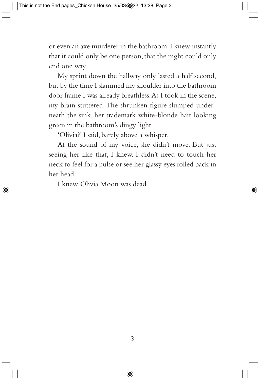or even an axe murderer in the bathroom. I knew instantly that it could only be one person, that the night could only end one way.

My sprint down the hallway only lasted a half second, but by the time I slammed my shoulder into the bathroom door frame I was already breathless. As I took in the scene, my brain stuttered. The shrunken figure slumped underneath the sink, her trademark white-blonde hair looking green in the bathroom's dingy light.

'Olivia?' I said, barely above a whisper.

At the sound of my voice, she didn't move. But just seeing her like that, I knew. I didn't need to touch her neck to feel for a pulse or see her glassy eyes rolled back in her head.

I knew. Olivia Moon was dead.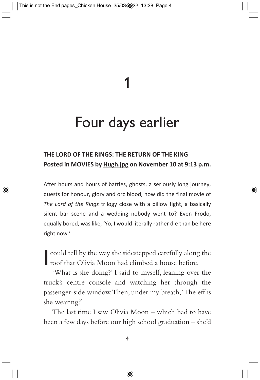1

## Four days earlier

## **THE LORD OF THE RINGS: THE RETURN OF THE KING Posted in MOVIES by Hugh.jpg on November 10 at 9:13 p.m.**

After hours and hours of battles, ghosts, a seriously long journey, quests for honour, glory and orc blood, how did the final movie of *The Lord of the Rings* trilogy close with a pillow fight, a basically silent bar scene and a wedding nobody went to? Even Frodo, equally bored, was like, 'Yo, I would literally rather die than be here right now.'

could tell by the way she sidestepped carefully along<br>roof that Olivia Moon had climbed a house before. could tell by the way she sidestepped carefully along the

'What is she doing?' I said to myself, leaning over the truck's centre console and watching her through the passenger-side window. Then, under my breath, 'The eff is she wearing?'

The last time I saw Olivia Moon – which had to have been a few days before our high school graduation – she'd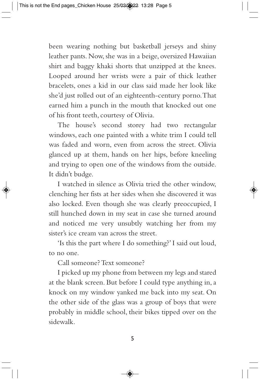been wearing nothing but basketball jerseys and shiny leather pants. Now, she was in a beige, oversized Hawaiian shirt and baggy khaki shorts that unzipped at the knees. Looped around her wrists were a pair of thick leather bracelets, ones a kid in our class said made her look like she'd just rolled out of an eighteenth-century porno. That earned him a punch in the mouth that knocked out one of his front teeth, courtesy of Olivia.

The house's second storey had two rectangular windows, each one painted with a white trim I could tell was faded and worn, even from across the street. Olivia glanced up at them, hands on her hips, before kneeling and trying to open one of the windows from the outside. It didn't budge.

I watched in silence as Olivia tried the other window, clenching her fists at her sides when she discovered it was also locked. Even though she was clearly preoccupied, I still hunched down in my seat in case she turned around and noticed me very unsubtly watching her from my sister's ice cream van across the street.

'Is this the part where I do something?' I said out loud, to no one.

Call someone? Text someone?

I picked up my phone from between my legs and stared at the blank screen. But before I could type anything in, a knock on my window yanked me back into my seat. On the other side of the glass was a group of boys that were probably in middle school, their bikes tipped over on the sidewalk.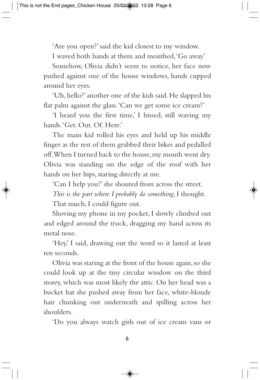'Are you open?' said the kid closest to my window.

I waved both hands at them and mouthed, 'Go away.'

Somehow, Olivia didn't seem to notice, her face now pushed against one of the house windows, hands cupped around her eyes.

'Uh, hello?' another one of the kids said. He slapped his flat palm against the glass. 'Can we get some ice cream?'

'I heard you the first time,' I hissed, still waving my hands. 'Get. Out. Of. Here.'

The main kid rolled his eyes and held up his middle finger as the rest of them grabbed their bikes and pedalled off. When I turned back to the house, my mouth went dry. Olivia was standing on the edge of the roof with her hands on her hips, staring directly at me.

'Can I help you?' she shouted from across the street.

*This is the part where I probably do something*, I thought.

That much, I could figure out.

Shoving my phone in my pocket, I slowly climbed out and edged around the truck, dragging my hand across its metal nose.

'Hey,' I said, drawing out the word so it lasted at least ten seconds.

Olivia was staring at the front of the house again, so she could look up at the tiny circular window on the third storey, which was most likely the attic. On her head was a bucket hat she pushed away from her face, white-blonde hair chunking out underneath and spilling across her shoulders.

'Do you always watch girls out of ice cream vans or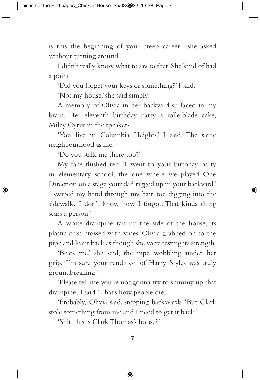is this the beginning of your creep career?' she asked without turning around.

I didn't really know what to say to that. She kind of had a point.

'Did you forget your keys or something?' I said.

'Not my house,' she said simply.

A memory of Olivia in her backyard surfaced in my brain. Her eleventh birthday party, a rollerblade cake, Miley Cyrus in the speakers.

'You live in Columbia Heights,' I said. The same neighbourhood as me.

'Do you stalk me there too?'

My face flushed red. 'I went to your birthday party in elementary school, the one where we played One Direction on a stage your dad rigged up in your backyard.' I swiped my hand through my hair, toe digging into the sidewalk. 'I don't know how I forgot. That kinda thing scars a person.'

A white drainpipe ran up the side of the house, its plastic criss-crossed with vines. Olivia grabbed on to the pipe and leant back as though she were testing its strength.

'Beats me,' she said, the pipe wobbling under her grip. 'I'm sure your rendition of Harry Styles was truly groundbreaking.'

'Please tell me you're not gonna try to shimmy up that drainpipe,' I said. 'That's how people die.'

'Probably,' Olivia said, stepping backwards. 'But Clark stole something from me and I need to get it back.'

'Shit, this is Clark Thomas's house?'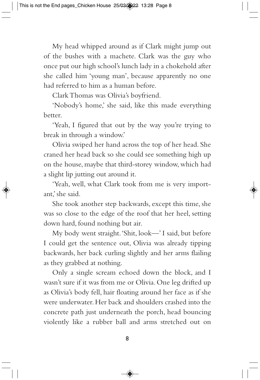My head whipped around as if Clark might jump out of the bushes with a machete. Clark was the guy who once put our high school's lunch lady in a chokehold after she called him 'young man', because apparently no one had referred to him as a human before.

Clark Thomas was Olivia's boyfriend.

'Nobody's home,' she said, like this made everything better.

'Yeah, I figured that out by the way you're trying to break in through a window.'

Olivia swiped her hand across the top of her head. She craned her head back so she could see something high up on the house, maybe that third-storey window, which had a slight lip jutting out around it.

'Yeah, well, what Clark took from me is very important,' she said.

She took another step backwards, except this time, she was so close to the edge of the roof that her heel, setting down hard, found nothing but air.

My body went straight. 'Shit, look—' I said, but before I could get the sentence out, Olivia was already tipping backwards, her back curling slightly and her arms flailing as they grabbed at nothing.

Only a single scream echoed down the block, and I wasn't sure if it was from me or Olivia. One leg drifted up as Olivia's body fell, hair floating around her face as if she were underwater. Her back and shoulders crashed into the concrete path just underneath the porch, head bouncing violently like a rubber ball and arms stretched out on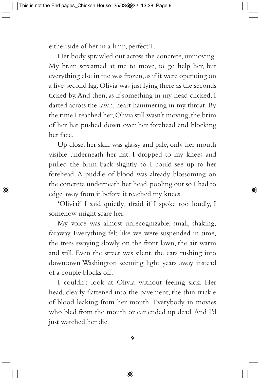either side of her in a limp, perfect T.

Her body sprawled out across the concrete, unmoving. My brain screamed at me to move, to go help her, but everything else in me was frozen, as if it were operating on a five-second lag. Olivia was just lying there as the seconds ticked by. And then, as if something in my head clicked, I darted across the lawn, heart hammering in my throat. By the time I reached her, Olivia still wasn't moving, the brim of her hat pushed down over her forehead and blocking her face.

Up close, her skin was glassy and pale, only her mouth visible underneath her hat. I dropped to my knees and pulled the brim back slightly so I could see up to her forehead. A puddle of blood was already blossoming on the concrete underneath her head, pooling out so I had to edge away from it before it reached my knees.

'Olivia?' I said quietly, afraid if I spoke too loudly, I somehow might scare her.

My voice was almost unrecognizable, small, shaking, faraway. Everything felt like we were suspended in time, the trees swaying slowly on the front lawn, the air warm and still. Even the street was silent, the cars rushing into downtown Washington seeming light years away instead of a couple blocks off.

I couldn't look at Olivia without feeling sick. Her head, clearly flattened into the pavement, the thin trickle of blood leaking from her mouth. Everybody in movies who bled from the mouth or ear ended up dead. And I'd just watched her die.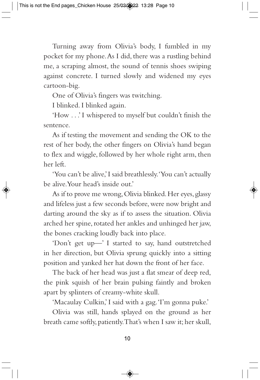Turning away from Olivia's body, I fumbled in my pocket for my phone. As I did, there was a rustling behind me, a scraping almost, the sound of tennis shoes swiping against concrete. I turned slowly and widened my eyes cartoon-big.

One of Olivia's fingers was twitching.

I blinked. I blinked again.

'How . . .' I whispered to myself but couldn't finish the sentence.

As if testing the movement and sending the OK to the rest of her body, the other fingers on Olivia's hand began to flex and wiggle, followed by her whole right arm, then her left.

'You can't be alive,' I said breathlessly. 'You can't actually be alive. Your head's inside out.'

As if to prove me wrong, Olivia blinked. Her eyes, glassy and lifeless just a few seconds before, were now bright and darting around the sky as if to assess the situation. Olivia arched her spine, rotated her ankles and unhinged her jaw, the bones cracking loudly back into place.

'Don't get up—' I started to say, hand outstretched in her direction, but Olivia sprung quickly into a sitting position and yanked her hat down the front of her face.

The back of her head was just a flat smear of deep red, the pink squish of her brain pulsing faintly and broken apart by splinters of creamy-white skull.

'Macaulay Culkin,' I said with a gag. 'I'm gonna puke.'

Olivia was still, hands splayed on the ground as her breath came softly, patiently. That's when I saw it; her skull,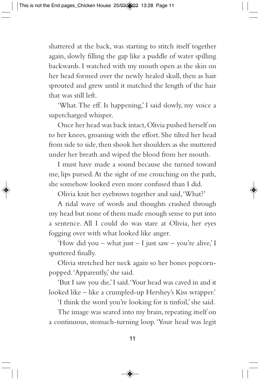shattered at the back, was starting to stitch itself together again, slowly filling the gap like a puddle of water spilling backwards. I watched with my mouth open as the skin on her head formed over the newly healed skull, then as hair sprouted and grew until it matched the length of the hair that was still left.

'What. The eff. Is happening,' I said slowly, my voice a supercharged whisper.

Once her head was back intact, Olivia pushed herself on to her knees, groaning with the effort. She tilted her head from side to side, then shook her shoulders as she muttered under her breath and wiped the blood from her mouth.

I must have made a sound because she turned toward me, lips pursed. At the sight of me crouching on the path, she somehow looked even more confused than I did.

Olivia knit her eyebrows together and said, 'What?'

A tidal wave of words and thoughts crashed through my head but none of them made enough sense to put into a sentence. All I could do was stare at Olivia, her eyes fogging over with what looked like anger.

'How did you – what just – I just saw – you're alive,' I sputtered finally.

Olivia stretched her neck again so her bones popcornpopped. 'Apparently,' she said.

'But I saw you die,' I said. 'Your head was caved in and it looked like – like a crumpled-up Hershey's Kiss wrapper.'

'I think the word you're looking for is tinfoil,' she said.

The image was seared into my brain, repeating itself on a continuous, stomach-turning loop. 'Your head was legit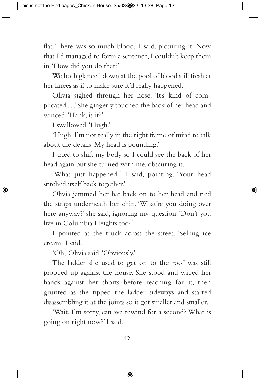flat. There was so much blood,' I said, picturing it. Now that I'd managed to form a sentence, I couldn't keep them in. 'How did you do that?'

We both glanced down at the pool of blood still fresh at her knees as if to make sure it'd really happened.

Olivia sighed through her nose. 'It's kind of complicated . . .' She gingerly touched the back of her head and winced. 'Hank, is it?'

I swallowed. 'Hugh.'

'Hugh. I'm not really in the right frame of mind to talk about the details. My head is pounding.'

I tried to shift my body so I could see the back of her head again but she turned with me, obscuring it.

'What just happened?' I said, pointing. 'Your head stitched itself back together.'

Olivia jammed her hat back on to her head and tied the straps underneath her chin. 'What're you doing over here anyway?' she said, ignoring my question. 'Don't you live in Columbia Heights too?'

I pointed at the truck across the street. 'Selling ice cream,' I said.

'Oh,' Olivia said. 'Obviously.'

The ladder she used to get on to the roof was still propped up against the house. She stood and wiped her hands against her shorts before reaching for it, then grunted as she tipped the ladder sideways and started disassembling it at the joints so it got smaller and smaller.

'Wait, I'm sorry, can we rewind for a second? What is going on right now?' I said.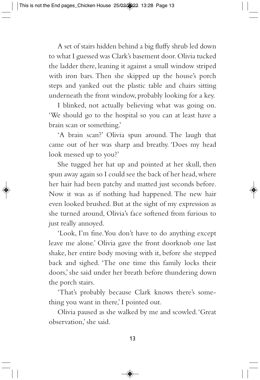A set of stairs hidden behind a big fluffy shrub led down to what I guessed was Clark's basement door. Olivia tucked the ladder there, leaning it against a small window striped with iron bars. Then she skipped up the house's porch steps and yanked out the plastic table and chairs sitting underneath the front window, probably looking for a key.

I blinked, not actually believing what was going on. 'We should go to the hospital so you can at least have a brain scan or something.'

'A brain scan?' Olivia spun around. The laugh that came out of her was sharp and breathy. 'Does my head look messed up to you?'

She tugged her hat up and pointed at her skull, then spun away again so I could see the back of her head, where her hair had been patchy and matted just seconds before. Now it was as if nothing had happened. The new hair even looked brushed. But at the sight of my expression as she turned around, Olivia's face softened from furious to just really annoyed.

'Look, I'm fine. You don't have to do anything except leave me alone.' Olivia gave the front doorknob one last shake, her entire body moving with it, before she stepped back and sighed. 'The one time this family locks their doors,' she said under her breath before thundering down the porch stairs.

'That's probably because Clark knows there's something you want in there,' I pointed out.

Olivia paused as she walked by me and scowled. 'Great observation,' she said.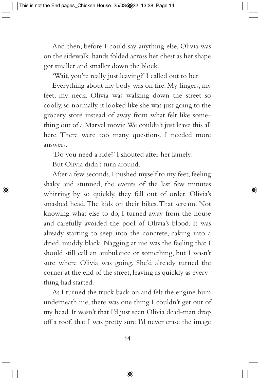And then, before I could say anything else, Olivia was on the sidewalk, hands folded across her chest as her shape got smaller and smaller down the block.

'Wait, you're really just leaving?' I called out to her.

Everything about my body was on fire. My fingers, my feet, my neck. Olivia was walking down the street so coolly, so normally, it looked like she was just going to the grocery store instead of away from what felt like something out of a Marvel movie. We couldn't just leave this all here. There were too many questions. I needed more answers.

'Do you need a ride?' I shouted after her lamely.

But Olivia didn't turn around.

After a few seconds, I pushed myself to my feet, feeling shaky and stunned, the events of the last few minutes whirring by so quickly, they fell out of order. Olivia's smashed head. The kids on their bikes. That scream. Not knowing what else to do, I turned away from the house and carefully avoided the pool of Olivia's blood. It was already starting to seep into the concrete, caking into a dried, muddy black. Nagging at me was the feeling that I should still call an ambulance or something, but I wasn't sure where Olivia was going. She'd already turned the corner at the end of the street, leaving as quickly as everything had started.

As I turned the truck back on and felt the engine hum underneath me, there was one thing I couldn't get out of my head. It wasn't that I'd just seen Olivia dead-man drop off a roof, that I was pretty sure I'd never erase the image